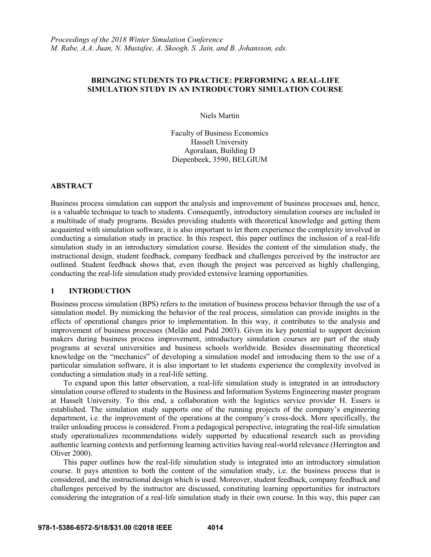## **BRINGING STUDENTS TO PRACTICE: PERFORMING A REAL-LIFE SIMULATION STUDY IN AN INTRODUCTORY SIMULATION COURSE**

Niels Martin

Faculty of Business Economics Hasselt University Agoralaan, Building D Diepenbeek, 3590, BELGIUM

### **ABSTRACT**

Business process simulation can support the analysis and improvement of business processes and, hence, is a valuable technique to teach to students. Consequently, introductory simulation courses are included in a multitude of study programs. Besides providing students with theoretical knowledge and getting them acquainted with simulation software, it is also important to let them experience the complexity involved in conducting a simulation study in practice. In this respect, this paper outlines the inclusion of a real-life simulation study in an introductory simulation course. Besides the content of the simulation study, the instructional design, student feedback, company feedback and challenges perceived by the instructor are outlined. Student feedback shows that, even though the project was perceived as highly challenging, conducting the real-life simulation study provided extensive learning opportunities.

## **1 INTRODUCTION**

Business process simulation (BPS) refers to the imitation of business process behavior through the use of a simulation model. By mimicking the behavior of the real process, simulation can provide insights in the effects of operational changes prior to implementation. In this way, it contributes to the analysis and improvement of business processes (Melão and Pidd 2003). Given its key potential to support decision makers during business process improvement, introductory simulation courses are part of the study programs at several universities and business schools worldwide. Besides disseminating theoretical knowledge on the "mechanics" of developing a simulation model and introducing them to the use of a particular simulation software, it is also important to let students experience the complexity involved in conducting a simulation study in a real-life setting.

To expand upon this latter observation, a real-life simulation study is integrated in an introductory simulation course offered to students in the Business and Information Systems Engineering master program at Hasselt University. To this end, a collaboration with the logistics service provider H. Essers is established. The simulation study supports one of the running projects of the company's engineering department, i.e. the improvement of the operations at the company's cross-dock. More specifically, the trailer unloading process is considered. From a pedagogical perspective, integrating the real-life simulation study operationalizes recommendations widely supported by educational research such as providing authentic learning contexts and performing learning activities having real-world relevance (Herrington and Oliver 2000).

This paper outlines how the real-life simulation study is integrated into an introductory simulation course. It pays attention to both the content of the simulation study, i.e. the business process that is considered, and the instructional design which is used. Moreover, student feedback, company feedback and challenges perceived by the instructor are discussed, constituting learning opportunities for instructors considering the integration of a real-life simulation study in their own course. In this way, this paper can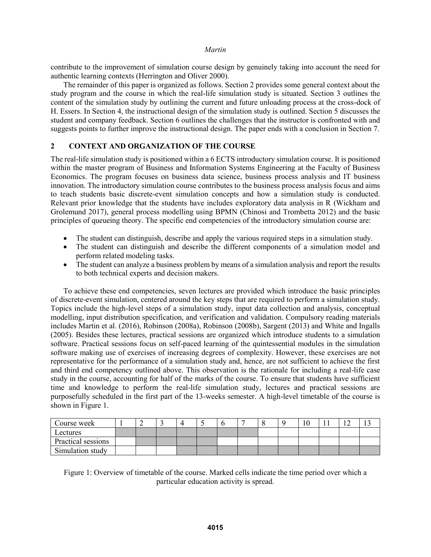contribute to the improvement of simulation course design by genuinely taking into account the need for authentic learning contexts (Herrington and Oliver 2000).

The remainder of this paper is organized as follows. Section 2 provides some general context about the study program and the course in which the real-life simulation study is situated. Section 3 outlines the content of the simulation study by outlining the current and future unloading process at the cross-dock of H. Essers. In Section 4, the instructional design of the simulation study is outlined. Section 5 discusses the student and company feedback. Section 6 outlines the challenges that the instructor is confronted with and suggests points to further improve the instructional design. The paper ends with a conclusion in Section 7.

## **2 CONTEXT AND ORGANIZATION OF THE COURSE**

The real-life simulation study is positioned within a 6 ECTS introductory simulation course. It is positioned within the master program of Business and Information Systems Engineering at the Faculty of Business Economics. The program focuses on business data science, business process analysis and IT business innovation. The introductory simulation course contributes to the business process analysis focus and aims to teach students basic discrete-event simulation concepts and how a simulation study is conducted. Relevant prior knowledge that the students have includes exploratory data analysis in R (Wickham and Grolemund 2017), general process modelling using BPMN (Chinosi and Trombetta 2012) and the basic principles of queueing theory. The specific end competencies of the introductory simulation course are:

- The student can distinguish, describe and apply the various required steps in a simulation study.
- The student can distinguish and describe the different components of a simulation model and perform related modeling tasks.
- The student can analyze a business problem by means of a simulation analysis and report the results to both technical experts and decision makers.

To achieve these end competencies, seven lectures are provided which introduce the basic principles of discrete-event simulation, centered around the key steps that are required to perform a simulation study. Topics include the high-level steps of a simulation study, input data collection and analysis, conceptual modelling, input distribution specification, and verification and validation. Compulsory reading materials includes Martin et al. (2016), Robinson (2008a), Robinson (2008b), Sargent (2013) and White and Ingalls (2005). Besides these lectures, practical sessions are organized which introduce students to a simulation software. Practical sessions focus on self-paced learning of the quintessential modules in the simulation software making use of exercises of increasing degrees of complexity. However, these exercises are not representative for the performance of a simulation study and, hence, are not sufficient to achieve the first and third end competency outlined above. This observation is the rationale for including a real-life case study in the course, accounting for half of the marks of the course. To ensure that students have sufficient time and knowledge to perform the real-life simulation study, lectures and practical sessions are purposefully scheduled in the first part of the 13-weeks semester. A high-level timetable of the course is shown in Figure 1.

| Course week        | ∽ |  | . . |  |  | 10 | <b>I</b> 4 |  |
|--------------------|---|--|-----|--|--|----|------------|--|
| Lectures           |   |  |     |  |  |    |            |  |
| Practical sessions |   |  |     |  |  |    |            |  |
| Simulation study   |   |  |     |  |  |    |            |  |

Figure 1: Overview of timetable of the course. Marked cells indicate the time period over which a particular education activity is spread.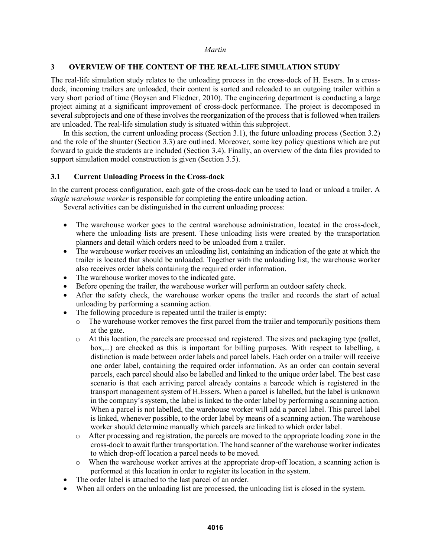## **3 OVERVIEW OF THE CONTENT OF THE REAL-LIFE SIMULATION STUDY**

The real-life simulation study relates to the unloading process in the cross-dock of H. Essers. In a crossdock, incoming trailers are unloaded, their content is sorted and reloaded to an outgoing trailer within a very short period of time (Boysen and Fliedner, 2010). The engineering department is conducting a large project aiming at a significant improvement of cross-dock performance. The project is decomposed in several subprojects and one of these involves the reorganization of the process that is followed when trailers are unloaded. The real-life simulation study is situated within this subproject.

In this section, the current unloading process (Section 3.1), the future unloading process (Section 3.2) and the role of the shunter (Section 3.3) are outlined. Moreover, some key policy questions which are put forward to guide the students are included (Section 3.4). Finally, an overview of the data files provided to support simulation model construction is given (Section 3.5).

## **3.1 Current Unloading Process in the Cross-dock**

In the current process configuration, each gate of the cross-dock can be used to load or unload a trailer. A *single warehouse worker* is responsible for completing the entire unloading action.

Several activities can be distinguished in the current unloading process:

- The warehouse worker goes to the central warehouse administration, located in the cross-dock, where the unloading lists are present. These unloading lists were created by the transportation planners and detail which orders need to be unloaded from a trailer.
- The warehouse worker receives an unloading list, containing an indication of the gate at which the trailer is located that should be unloaded. Together with the unloading list, the warehouse worker also receives order labels containing the required order information.
- The warehouse worker moves to the indicated gate.
- Before opening the trailer, the warehouse worker will perform an outdoor safety check.
- After the safety check, the warehouse worker opens the trailer and records the start of actual unloading by performing a scanning action.
- The following procedure is repeated until the trailer is empty:
	- $\circ$  The warehouse worker removes the first parcel from the trailer and temporarily positions them at the gate.
	- o At this location, the parcels are processed and registered. The sizes and packaging type (pallet, box,...) are checked as this is important for billing purposes. With respect to labelling, a distinction is made between order labels and parcel labels. Each order on a trailer will receive one order label, containing the required order information. As an order can contain several parcels, each parcel should also be labelled and linked to the unique order label. The best case scenario is that each arriving parcel already contains a barcode which is registered in the transport management system of H.Essers. When a parcel is labelled, but the label is unknown in the company's system, the label is linked to the order label by performing a scanning action. When a parcel is not labelled, the warehouse worker will add a parcel label. This parcel label is linked, whenever possible, to the order label by means of a scanning action. The warehouse worker should determine manually which parcels are linked to which order label.
	- o After processing and registration, the parcels are moved to the appropriate loading zone in the cross-dock to await further transportation. The hand scanner of the warehouse worker indicates to which drop-off location a parcel needs to be moved.
	- When the warehouse worker arrives at the appropriate drop-off location, a scanning action is performed at this location in order to register its location in the system.
- The order label is attached to the last parcel of an order.
- When all orders on the unloading list are processed, the unloading list is closed in the system.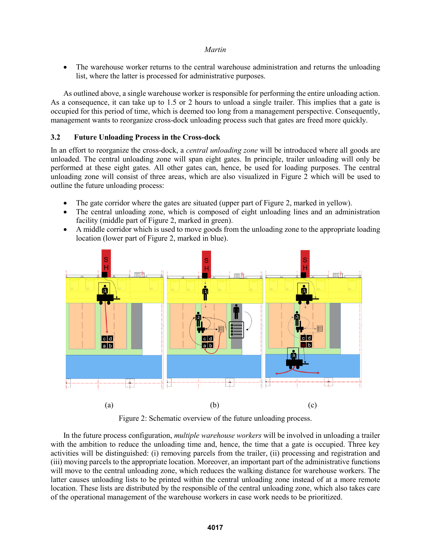• The warehouse worker returns to the central warehouse administration and returns the unloading list, where the latter is processed for administrative purposes.

As outlined above, a single warehouse worker is responsible for performing the entire unloading action. As a consequence, it can take up to 1.5 or 2 hours to unload a single trailer. This implies that a gate is occupied for this period of time, which is deemed too long from a management perspective. Consequently, management wants to reorganize cross-dock unloading process such that gates are freed more quickly.

# **3.2 Future Unloading Process in the Cross-dock**

In an effort to reorganize the cross-dock, a *central unloading zone* will be introduced where all goods are unloaded. The central unloading zone will span eight gates. In principle, trailer unloading will only be performed at these eight gates. All other gates can, hence, be used for loading purposes. The central unloading zone will consist of three areas, which are also visualized in Figure 2 which will be used to outline the future unloading process:

- The gate corridor where the gates are situated (upper part of Figure 2, marked in yellow).
- The central unloading zone, which is composed of eight unloading lines and an administration facility (middle part of Figure 2, marked in green).
- A middle corridor which is used to move goods from the unloading zone to the appropriate loading location (lower part of Figure 2, marked in blue).



Figure 2: Schematic overview of the future unloading process.

In the future process configuration, *multiple warehouse workers* will be involved in unloading a trailer with the ambition to reduce the unloading time and, hence, the time that a gate is occupied. Three key activities will be distinguished: (i) removing parcels from the trailer, (ii) processing and registration and (iii) moving parcels to the appropriate location. Moreover, an important part of the administrative functions will move to the central unloading zone, which reduces the walking distance for warehouse workers. The latter causes unloading lists to be printed within the central unloading zone instead of at a more remote location. These lists are distributed by the responsible of the central unloading zone, which also takes care of the operational management of the warehouse workers in case work needs to be prioritized.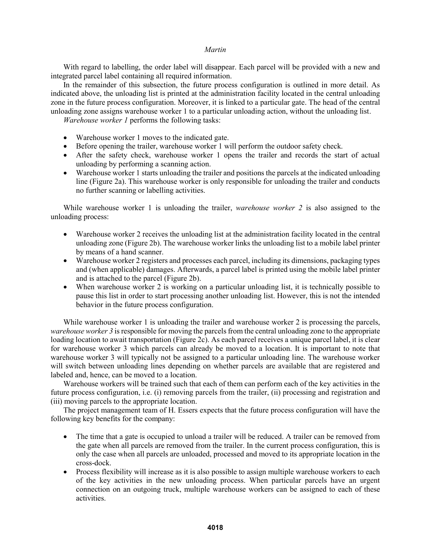With regard to labelling, the order label will disappear. Each parcel will be provided with a new and integrated parcel label containing all required information.

In the remainder of this subsection, the future process configuration is outlined in more detail. As indicated above, the unloading list is printed at the administration facility located in the central unloading zone in the future process configuration. Moreover, it is linked to a particular gate. The head of the central unloading zone assigns warehouse worker 1 to a particular unloading action, without the unloading list.

*Warehouse worker 1* performs the following tasks:

- Warehouse worker 1 moves to the indicated gate.
- Before opening the trailer, warehouse worker 1 will perform the outdoor safety check.
- After the safety check, warehouse worker 1 opens the trailer and records the start of actual unloading by performing a scanning action.
- Warehouse worker 1 starts unloading the trailer and positions the parcels at the indicated unloading line (Figure 2a). This warehouse worker is only responsible for unloading the trailer and conducts no further scanning or labelling activities.

While warehouse worker 1 is unloading the trailer, *warehouse worker 2* is also assigned to the unloading process:

- Warehouse worker 2 receives the unloading list at the administration facility located in the central unloading zone (Figure 2b). The warehouse worker links the unloading list to a mobile label printer by means of a hand scanner.
- Warehouse worker 2 registers and processes each parcel, including its dimensions, packaging types and (when applicable) damages. Afterwards, a parcel label is printed using the mobile label printer and is attached to the parcel (Figure 2b).
- When warehouse worker 2 is working on a particular unloading list, it is technically possible to pause this list in order to start processing another unloading list. However, this is not the intended behavior in the future process configuration.

While warehouse worker 1 is unloading the trailer and warehouse worker 2 is processing the parcels, *warehouse worker 3* is responsible for moving the parcels from the central unloading zone to the appropriate loading location to await transportation (Figure 2c). As each parcel receives a unique parcel label, it is clear for warehouse worker 3 which parcels can already be moved to a location. It is important to note that warehouse worker 3 will typically not be assigned to a particular unloading line. The warehouse worker will switch between unloading lines depending on whether parcels are available that are registered and labeled and, hence, can be moved to a location.

Warehouse workers will be trained such that each of them can perform each of the key activities in the future process configuration, i.e. (i) removing parcels from the trailer, (ii) processing and registration and (iii) moving parcels to the appropriate location.

The project management team of H. Essers expects that the future process configuration will have the following key benefits for the company:

- The time that a gate is occupied to unload a trailer will be reduced. A trailer can be removed from the gate when all parcels are removed from the trailer. In the current process configuration, this is only the case when all parcels are unloaded, processed and moved to its appropriate location in the cross-dock.
- Process flexibility will increase as it is also possible to assign multiple warehouse workers to each of the key activities in the new unloading process. When particular parcels have an urgent connection on an outgoing truck, multiple warehouse workers can be assigned to each of these activities.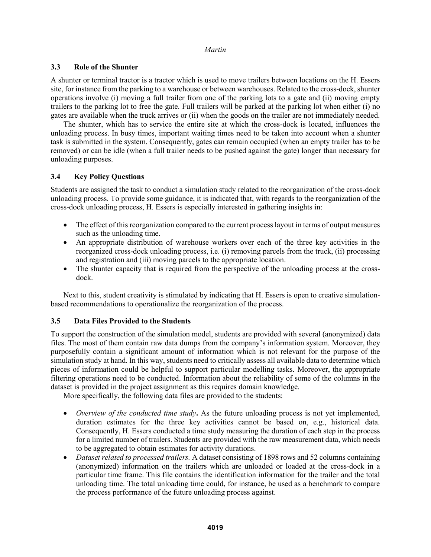## **3.3 Role of the Shunter**

A shunter or terminal tractor is a tractor which is used to move trailers between locations on the H. Essers site, for instance from the parking to a warehouse or between warehouses. Related to the cross-dock, shunter operations involve (i) moving a full trailer from one of the parking lots to a gate and (ii) moving empty trailers to the parking lot to free the gate. Full trailers will be parked at the parking lot when either (i) no gates are available when the truck arrives or (ii) when the goods on the trailer are not immediately needed.

The shunter, which has to service the entire site at which the cross-dock is located, influences the unloading process. In busy times, important waiting times need to be taken into account when a shunter task is submitted in the system. Consequently, gates can remain occupied (when an empty trailer has to be removed) or can be idle (when a full trailer needs to be pushed against the gate) longer than necessary for unloading purposes.

## **3.4 Key Policy Questions**

Students are assigned the task to conduct a simulation study related to the reorganization of the cross-dock unloading process. To provide some guidance, it is indicated that, with regards to the reorganization of the cross-dock unloading process, H. Essers is especially interested in gathering insights in:

- The effect of this reorganization compared to the current process layout in terms of output measures such as the unloading time.
- An appropriate distribution of warehouse workers over each of the three key activities in the reorganized cross-dock unloading process, i.e. (i) removing parcels from the truck, (ii) processing and registration and (iii) moving parcels to the appropriate location.
- The shunter capacity that is required from the perspective of the unloading process at the crossdock.

Next to this, student creativity is stimulated by indicating that H. Essers is open to creative simulationbased recommendations to operationalize the reorganization of the process.

## **3.5 Data Files Provided to the Students**

To support the construction of the simulation model, students are provided with several (anonymized) data files. The most of them contain raw data dumps from the company's information system. Moreover, they purposefully contain a significant amount of information which is not relevant for the purpose of the simulation study at hand. In this way, students need to critically assess all available data to determine which pieces of information could be helpful to support particular modelling tasks. Moreover, the appropriate filtering operations need to be conducted. Information about the reliability of some of the columns in the dataset is provided in the project assignment as this requires domain knowledge.

More specifically, the following data files are provided to the students:

- *Overview of the conducted time study***.** As the future unloading process is not yet implemented, duration estimates for the three key activities cannot be based on, e.g., historical data. Consequently, H. Essers conducted a time study measuring the duration of each step in the process for a limited number of trailers. Students are provided with the raw measurement data, which needs to be aggregated to obtain estimates for activity durations.
- *Dataset related to processed trailers.* A dataset consisting of 1898 rows and 52 columns containing (anonymized) information on the trailers which are unloaded or loaded at the cross-dock in a particular time frame. This file contains the identification information for the trailer and the total unloading time. The total unloading time could, for instance, be used as a benchmark to compare the process performance of the future unloading process against.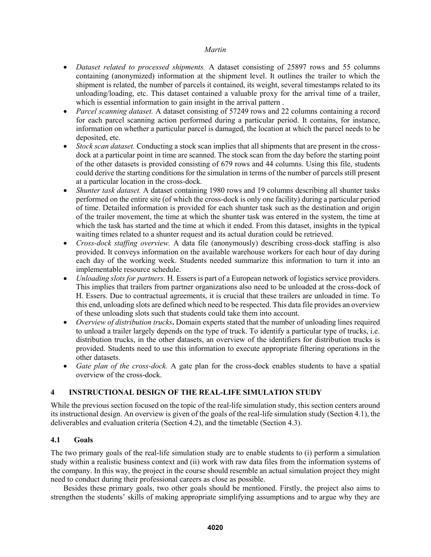- *Dataset related to processed shipments.* A dataset consisting of 25897 rows and 55 columns containing (anonymized) information at the shipment level. It outlines the trailer to which the shipment is related, the number of parcels it contained, its weight, several timestamps related to its unloading/loading, etc. This dataset contained a valuable proxy for the arrival time of a trailer, which is essential information to gain insight in the arrival pattern .
- *Parcel scanning dataset.* A dataset consisting of 57249 rows and 22 columns containing a record for each parcel scanning action performed during a particular period. It contains, for instance, information on whether a particular parcel is damaged, the location at which the parcel needs to be deposited, etc.
- *Stock scan dataset.* Conducting a stock scan implies that all shipments that are present in the crossdock at a particular point in time are scanned. The stock scan from the day before the starting point of the other datasets is provided consisting of 679 rows and 44 columns. Using this file, students could derive the starting conditions for the simulation in terms of the number of parcels still present at a particular location in the cross-dock.
- *Shunter task dataset.* A dataset containing 1980 rows and 19 columns describing all shunter tasks performed on the entire site (of which the cross-dock is only one facility) during a particular period of time. Detailed information is provided for each shunter task such as the destination and origin of the trailer movement, the time at which the shunter task was entered in the system, the time at which the task has started and the time at which it ended. From this dataset, insights in the typical waiting times related to a shunter request and its actual duration could be retrieved.
- *Cross-dock staffing overview.* A data file (anonymously) describing cross-dock staffing is also provided. It conveys information on the available warehouse workers for each hour of day during each day of the working week. Students needed summarize this information to turn it into an implementable resource schedule.
- *Unloading slots for partners.* H. Essers is part of a European network of logistics service providers. This implies that trailers from partner organizations also need to be unloaded at the cross-dock of H. Essers. Due to contractual agreements, it is crucial that these trailers are unloaded in time. To this end, unloading slots are defined which need to be respected. This data file provides an overview of these unloading slots such that students could take them into account.
- *Overview of distribution trucks***.** Domain experts stated that the number of unloading lines required to unload a trailer largely depends on the type of truck. To identify a particular type of trucks, i.e. distribution trucks, in the other datasets, an overview of the identifiers for distribution trucks is provided. Students need to use this information to execute appropriate filtering operations in the other datasets.
- *Gate plan of the cross-dock.* A gate plan for the cross-dock enables students to have a spatial overview of the cross-dock.

# **4 INSTRUCTIONAL DESIGN OF THE REAL-LIFE SIMULATION STUDY**

While the previous section focused on the topic of the real-life simulation study, this section centers around its instructional design. An overview is given of the goals of the real-life simulation study (Section 4.1), the deliverables and evaluation criteria (Section 4.2), and the timetable (Section 4.3).

## **4.1 Goals**

The two primary goals of the real-life simulation study are to enable students to (i) perform a simulation study within a realistic business context and (ii) work with raw data files from the information systems of the company. In this way, the project in the course should resemble an actual simulation project they might need to conduct during their professional careers as close as possible.

Besides these primary goals, two other goals should be mentioned. Firstly, the project also aims to strengthen the students' skills of making appropriate simplifying assumptions and to argue why they are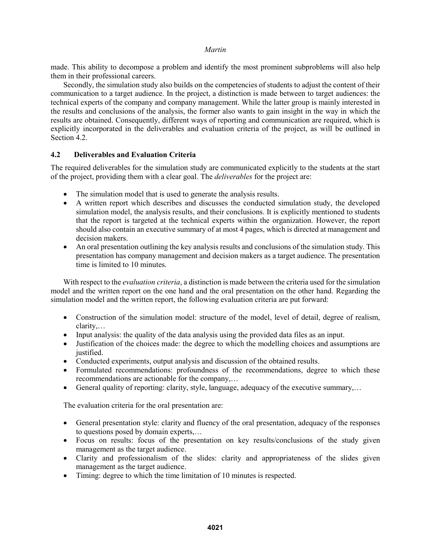made. This ability to decompose a problem and identify the most prominent subproblems will also help them in their professional careers.

Secondly, the simulation study also builds on the competencies of students to adjust the content of their communication to a target audience. In the project, a distinction is made between to target audiences: the technical experts of the company and company management. While the latter group is mainly interested in the results and conclusions of the analysis, the former also wants to gain insight in the way in which the results are obtained. Consequently, different ways of reporting and communication are required, which is explicitly incorporated in the deliverables and evaluation criteria of the project, as will be outlined in Section 4.2.

# **4.2 Deliverables and Evaluation Criteria**

The required deliverables for the simulation study are communicated explicitly to the students at the start of the project, providing them with a clear goal. The *deliverables* for the project are:

- The simulation model that is used to generate the analysis results.
- A written report which describes and discusses the conducted simulation study, the developed simulation model, the analysis results, and their conclusions. It is explicitly mentioned to students that the report is targeted at the technical experts within the organization. However, the report should also contain an executive summary of at most 4 pages, which is directed at management and decision makers.
- An oral presentation outlining the key analysis results and conclusions of the simulation study. This presentation has company management and decision makers as a target audience. The presentation time is limited to 10 minutes.

With respect to the *evaluation criteria*, a distinction is made between the criteria used for the simulation model and the written report on the one hand and the oral presentation on the other hand. Regarding the simulation model and the written report, the following evaluation criteria are put forward:

- Construction of the simulation model: structure of the model, level of detail, degree of realism, clarity,…
- Input analysis: the quality of the data analysis using the provided data files as an input.
- Justification of the choices made: the degree to which the modelling choices and assumptions are justified.
- Conducted experiments, output analysis and discussion of the obtained results.
- Formulated recommendations: profoundness of the recommendations, degree to which these recommendations are actionable for the company,…
- General quality of reporting: clarity, style, language, adequacy of the executive summary,…

The evaluation criteria for the oral presentation are:

- General presentation style: clarity and fluency of the oral presentation, adequacy of the responses to questions posed by domain experts,…
- Focus on results: focus of the presentation on key results/conclusions of the study given management as the target audience.
- Clarity and professionalism of the slides: clarity and appropriateness of the slides given management as the target audience.
- Timing: degree to which the time limitation of 10 minutes is respected.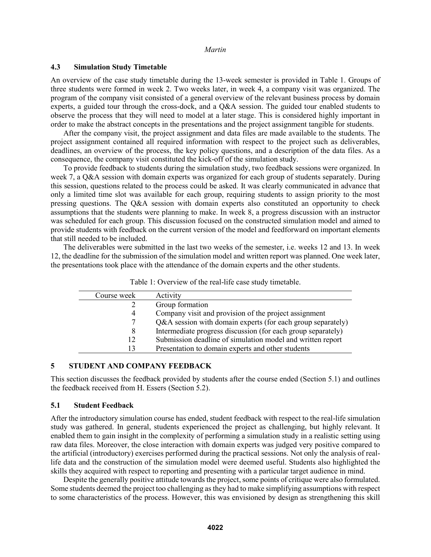### **4.3 Simulation Study Timetable**

An overview of the case study timetable during the 13-week semester is provided in Table 1. Groups of three students were formed in week 2. Two weeks later, in week 4, a company visit was organized. The program of the company visit consisted of a general overview of the relevant business process by domain experts, a guided tour through the cross-dock, and a Q&A session. The guided tour enabled students to observe the process that they will need to model at a later stage. This is considered highly important in order to make the abstract concepts in the presentations and the project assignment tangible for students.

After the company visit, the project assignment and data files are made available to the students. The project assignment contained all required information with respect to the project such as deliverables, deadlines, an overview of the process, the key policy questions, and a description of the data files. As a consequence, the company visit constituted the kick-off of the simulation study.

To provide feedback to students during the simulation study, two feedback sessions were organized. In week 7, a Q&A session with domain experts was organized for each group of students separately. During this session, questions related to the process could be asked. It was clearly communicated in advance that only a limited time slot was available for each group, requiring students to assign priority to the most pressing questions. The Q&A session with domain experts also constituted an opportunity to check assumptions that the students were planning to make. In week 8, a progress discussion with an instructor was scheduled for each group. This discussion focused on the constructed simulation model and aimed to provide students with feedback on the current version of the model and feedforward on important elements that still needed to be included.

The deliverables were submitted in the last two weeks of the semester, i.e. weeks 12 and 13. In week 12, the deadline for the submission of the simulation model and written report was planned. One week later, the presentations took place with the attendance of the domain experts and the other students.

| Course week | Activity                                                     |
|-------------|--------------------------------------------------------------|
|             | Group formation                                              |
| 4           | Company visit and provision of the project assignment        |
| 7           | Q&A session with domain experts (for each group separately)  |
| 8           | Intermediate progress discussion (for each group separately) |
| 12          | Submission deadline of simulation model and written report   |
| 13          | Presentation to domain experts and other students            |
|             |                                                              |

Table 1: Overview of the real-life case study timetable.

#### **5 STUDENT AND COMPANY FEEDBACK**

This section discusses the feedback provided by students after the course ended (Section 5.1) and outlines the feedback received from H. Essers (Section 5.2).

#### **5.1 Student Feedback**

After the introductory simulation course has ended, student feedback with respect to the real-life simulation study was gathered. In general, students experienced the project as challenging, but highly relevant. It enabled them to gain insight in the complexity of performing a simulation study in a realistic setting using raw data files. Moreover, the close interaction with domain experts was judged very positive compared to the artificial (introductory) exercises performed during the practical sessions. Not only the analysis of reallife data and the construction of the simulation model were deemed useful. Students also highlighted the skills they acquired with respect to reporting and presenting with a particular target audience in mind.

Despite the generally positive attitude towards the project, some points of critique were also formulated. Some students deemed the project too challenging as they had to make simplifying assumptions with respect to some characteristics of the process. However, this was envisioned by design as strengthening this skill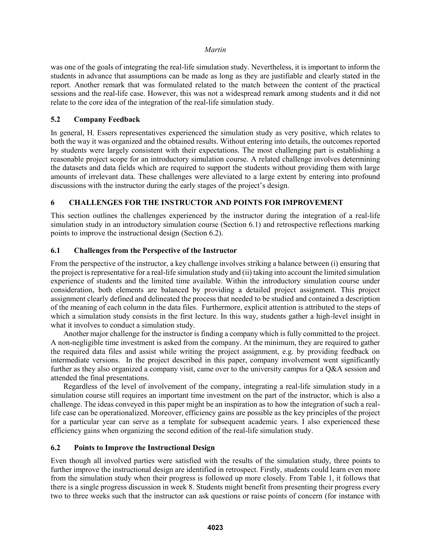was one of the goals of integrating the real-life simulation study. Nevertheless, it is important to inform the students in advance that assumptions can be made as long as they are justifiable and clearly stated in the report. Another remark that was formulated related to the match between the content of the practical sessions and the real-life case. However, this was not a widespread remark among students and it did not relate to the core idea of the integration of the real-life simulation study.

## **5.2 Company Feedback**

In general, H. Essers representatives experienced the simulation study as very positive, which relates to both the way it was organized and the obtained results. Without entering into details, the outcomes reported by students were largely consistent with their expectations. The most challenging part is establishing a reasonable project scope for an introductory simulation course. A related challenge involves determining the datasets and data fields which are required to support the students without providing them with large amounts of irrelevant data. These challenges were alleviated to a large extent by entering into profound discussions with the instructor during the early stages of the project's design.

## **6 CHALLENGES FOR THE INSTRUCTOR AND POINTS FOR IMPROVEMENT**

This section outlines the challenges experienced by the instructor during the integration of a real-life simulation study in an introductory simulation course (Section 6.1) and retrospective reflections marking points to improve the instructional design (Section 6.2).

## **6.1 Challenges from the Perspective of the Instructor**

From the perspective of the instructor, a key challenge involves striking a balance between (i) ensuring that the project is representative for a real-life simulation study and (ii) taking into account the limited simulation experience of students and the limited time available. Within the introductory simulation course under consideration, both elements are balanced by providing a detailed project assignment. This project assignment clearly defined and delineated the process that needed to be studied and contained a description of the meaning of each column in the data files. Furthermore, explicit attention is attributed to the steps of which a simulation study consists in the first lecture. In this way, students gather a high-level insight in what it involves to conduct a simulation study.

Another major challenge for the instructor is finding a company which is fully committed to the project. A non-negligible time investment is asked from the company. At the minimum, they are required to gather the required data files and assist while writing the project assignment, e.g. by providing feedback on intermediate versions. In the project described in this paper, company involvement went significantly further as they also organized a company visit, came over to the university campus for a O&A session and attended the final presentations.

Regardless of the level of involvement of the company, integrating a real-life simulation study in a simulation course still requires an important time investment on the part of the instructor, which is also a challenge. The ideas conveyed in this paper might be an inspiration as to how the integration of such a reallife case can be operationalized. Moreover, efficiency gains are possible as the key principles of the project for a particular year can serve as a template for subsequent academic years. I also experienced these efficiency gains when organizing the second edition of the real-life simulation study.

#### **6.2 Points to Improve the Instructional Design**

Even though all involved parties were satisfied with the results of the simulation study, three points to further improve the instructional design are identified in retrospect. Firstly, students could learn even more from the simulation study when their progress is followed up more closely. From Table 1, it follows that there is a single progress discussion in week 8. Students might benefit from presenting their progress every two to three weeks such that the instructor can ask questions or raise points of concern (for instance with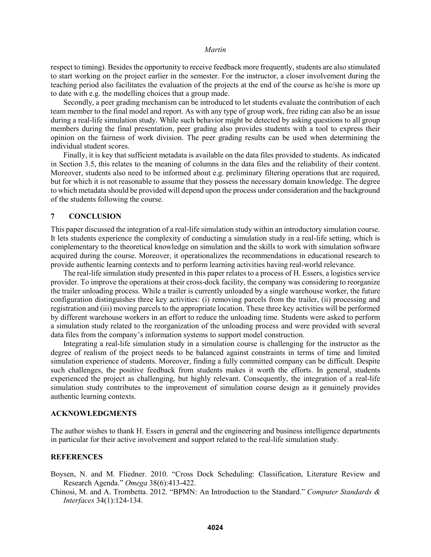respect to timing). Besides the opportunity to receive feedback more frequently, students are also stimulated to start working on the project earlier in the semester. For the instructor, a closer involvement during the teaching period also facilitates the evaluation of the projects at the end of the course as he/she is more up to date with e.g. the modelling choices that a group made.

Secondly, a peer grading mechanism can be introduced to let students evaluate the contribution of each team member to the final model and report. As with any type of group work, free riding can also be an issue during a real-life simulation study. While such behavior might be detected by asking questions to all group members during the final presentation, peer grading also provides students with a tool to express their opinion on the fairness of work division. The peer grading results can be used when determining the individual student scores.

Finally, it is key that sufficient metadata is available on the data files provided to students. As indicated in Section 3.5, this relates to the meaning of columns in the data files and the reliability of their content. Moreover, students also need to be informed about e.g. preliminary filtering operations that are required, but for which it is not reasonable to assume that they possess the necessary domain knowledge. The degree to which metadata should be provided will depend upon the process under consideration and the background of the students following the course.

### **7 CONCLUSION**

This paper discussed the integration of a real-life simulation study within an introductory simulation course. It lets students experience the complexity of conducting a simulation study in a real-life setting, which is complementary to the theoretical knowledge on simulation and the skills to work with simulation software acquired during the course. Moreover, it operationalizes the recommendations in educational research to provide authentic learning contexts and to perform learning activities having real-world relevance.

The real-life simulation study presented in this paper relates to a process of H. Essers, a logistics service provider. To improve the operations at their cross-dock facility, the company was considering to reorganize the trailer unloading process. While a trailer is currently unloaded by a single warehouse worker, the future configuration distinguishes three key activities: (i) removing parcels from the trailer, (ii) processing and registration and (iii) moving parcels to the appropriate location. These three key activities will be performed by different warehouse workers in an effort to reduce the unloading time. Students were asked to perform a simulation study related to the reorganization of the unloading process and were provided with several data files from the company's information systems to support model construction.

Integrating a real-life simulation study in a simulation course is challenging for the instructor as the degree of realism of the project needs to be balanced against constraints in terms of time and limited simulation experience of students. Moreover, finding a fully committed company can be difficult. Despite such challenges, the positive feedback from students makes it worth the efforts. In general, students experienced the project as challenging, but highly relevant. Consequently, the integration of a real-life simulation study contributes to the improvement of simulation course design as it genuinely provides authentic learning contexts.

#### **ACKNOWLEDGMENTS**

The author wishes to thank H. Essers in general and the engineering and business intelligence departments in particular for their active involvement and support related to the real-life simulation study.

### **REFERENCES**

- Boysen, N. and M. Fliedner. 2010. "Cross Dock Scheduling: Classification, Literature Review and Research Agenda." *Omega* 38(6):413-422.
- Chinosi, M. and A. Trombetta. 2012. "BPMN: An Introduction to the Standard." *Computer Standards & Interfaces* 34(1):124-134.